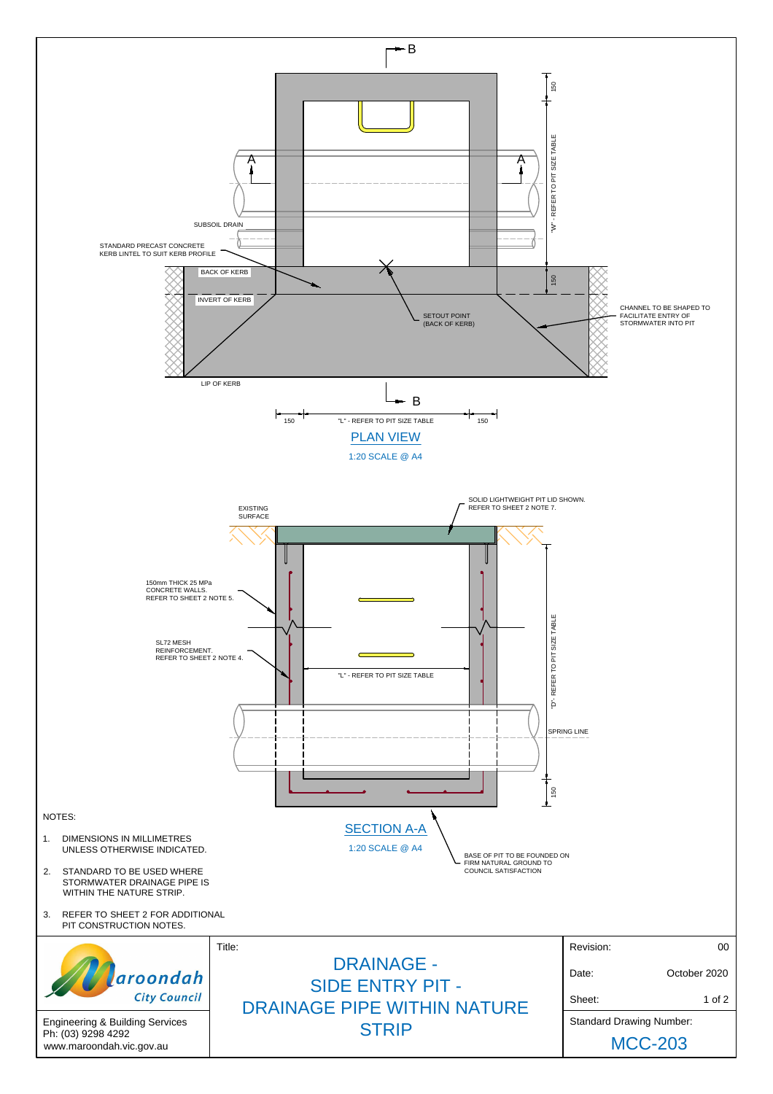